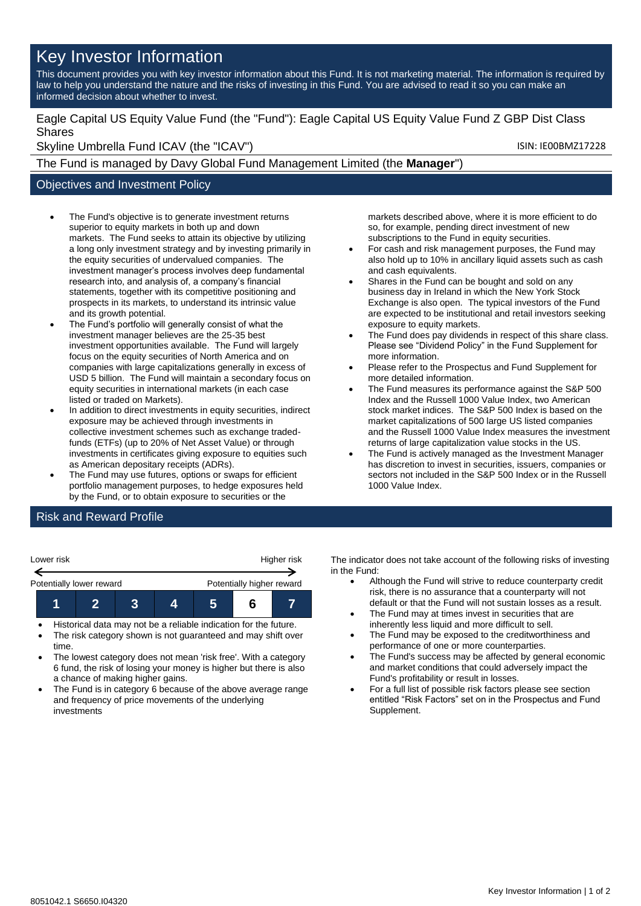# Key Investor Information

This document provides you with key investor information about this Fund. It is not marketing material. The information is required by law to help you understand the nature and the risks of investing in this Fund. You are advised to read it so you can make an informed decision about whether to invest.

### Eagle Capital US Equity Value Fund (the "Fund"): Eagle Capital US Equity Value Fund Z GBP Dist Class Shares

Skyline Umbrella Fund ICAV (the "ICAV") Skyline Umbrella Fund ICAV (the "ICAV")

The Fund is managed by Davy Global Fund Management Limited (the **Manager**")

## Objectives and Investment Policy

- The Fund's objective is to generate investment returns superior to equity markets in both up and down markets. The Fund seeks to attain its objective by utilizing a long only investment strategy and by investing primarily in the equity securities of undervalued companies. The investment manager's process involves deep fundamental research into, and analysis of, a company's financial statements, together with its competitive positioning and prospects in its markets, to understand its intrinsic value and its growth potential.
- The Fund's portfolio will generally consist of what the investment manager believes are the 25-35 best investment opportunities available. The Fund will largely focus on the equity securities of North America and on companies with large capitalizations generally in excess of USD 5 billion. The Fund will maintain a secondary focus on equity securities in international markets (in each case listed or traded on Markets).
- In addition to direct investments in equity securities, indirect exposure may be achieved through investments in collective investment schemes such as exchange tradedfunds (ETFs) (up to 20% of Net Asset Value) or through investments in certificates giving exposure to equities such as American depositary receipts (ADRs).
- The Fund may use futures, options or swaps for efficient portfolio management purposes, to hedge exposures held by the Fund, or to obtain exposure to securities or the

markets described above, where it is more efficient to do so, for example, pending direct investment of new subscriptions to the Fund in equity securities.

- For cash and risk management purposes, the Fund may also hold up to 10% in ancillary liquid assets such as cash and cash equivalents.
- Shares in the Fund can be bought and sold on any business day in Ireland in which the New York Stock Exchange is also open. The typical investors of the Fund are expected to be institutional and retail investors seeking exposure to equity markets.
- The Fund does pay dividends in respect of this share class. Please see "Dividend Policy" in the Fund Supplement for more information.
- Please refer to the Prospectus and Fund Supplement for more detailed information.
- The Fund measures its performance against the S&P 500 Index and the Russell 1000 Value Index, two American stock market indices. The S&P 500 Index is based on the market capitalizations of 500 large US listed companies and the Russell 1000 Value Index measures the investment returns of large capitalization value stocks in the US.
- The Fund is actively managed as the Investment Manager has discretion to invest in securities, issuers, companies or sectors not included in the S&P 500 Index or in the Russell 1000 Value Index.

## Risk and Reward Profile

| Lower risk               |  | Higher risk |                           |  |  |  |
|--------------------------|--|-------------|---------------------------|--|--|--|
| Potentially lower reward |  |             | Potentially higher reward |  |  |  |
|                          |  |             |                           |  |  |  |

- Historical data may not be a reliable indication for the future.
- The risk category shown is not guaranteed and may shift over time.
- The lowest category does not mean 'risk free'. With a category 6 fund, the risk of losing your money is higher but there is also a chance of making higher gains.
- The Fund is in category 6 because of the above average range and frequency of price movements of the underlying investments

The indicator does not take account of the following risks of investing in the Fund:

- Although the Fund will strive to reduce counterparty credit risk, there is no assurance that a counterparty will not default or that the Fund will not sustain losses as a result.
- The Fund may at times invest in securities that are inherently less liquid and more difficult to sell.
- The Fund may be exposed to the creditworthiness and performance of one or more counterparties.
- The Fund's success may be affected by general economic and market conditions that could adversely impact the Fund's profitability or result in losses.
- For a full list of possible risk factors please see section entitled "Risk Factors" set on in the Prospectus and Fund Supplement.